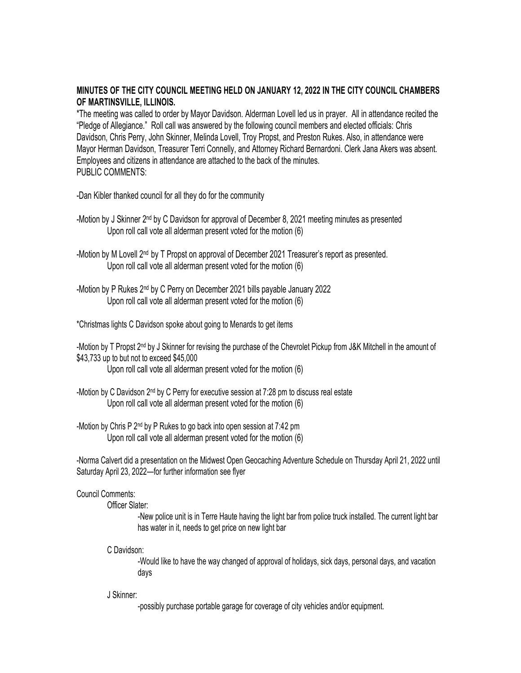## **MINUTES OF THE CITY COUNCIL MEETING HELD ON JANUARY 12, 2022 IN THE CITY COUNCIL CHAMBERS OF MARTINSVILLE, ILLINOIS.**

\*The meeting was called to order by Mayor Davidson. Alderman Lovell led us in prayer. All in attendance recited the "Pledge of Allegiance." Roll call was answered by the following council members and elected officials: Chris Davidson, Chris Perry, John Skinner, Melinda Lovell, Troy Propst, and Preston Rukes. Also, in attendance were Mayor Herman Davidson, Treasurer Terri Connelly, and Attorney Richard Bernardoni. Clerk Jana Akers was absent. Employees and citizens in attendance are attached to the back of the minutes. PUBLIC COMMENTS:

-Dan Kibler thanked council for all they do for the community

-Motion by J Skinner 2 nd by C Davidson for approval of December 8, 2021 meeting minutes as presented Upon roll call vote all alderman present voted for the motion (6)

- -Motion by M Lovell 2ൻ by T Propst on approval of December 2021 Treasurer's report as presented. Upon roll call vote all alderman present voted for the motion (6)
- -Motion by P Rukes 2<sup>nd</sup> by C Perry on December 2021 bills payable January 2022 Upon roll call vote all alderman present voted for the motion (6)
- \*Christmas lights C Davidson spoke about going to Menards to get items

-Motion by T Propst 2™ by J Skinner for revising the purchase of the Chevrolet Pickup from J&K Mitchell in the amount of \$43,733 up to but not to exceed \$45,000

Upon roll call vote all alderman present voted for the motion (6)

- -Motion by C Davidson 2nd by C Perry for executive session at 7:28 pm to discuss real estate Upon roll call vote all alderman present voted for the motion (6)
- -Motion by Chris P 2nd by P Rukes to go back into open session at 7:42 pm Upon roll call vote all alderman present voted for the motion (6)

-Norma Calvert did a presentation on the Midwest Open Geocaching Adventure Schedule on Thursday April 21, 2022 until Saturday April 23, 2022—for further information see flyer

## Council Comments:

Officer Slater:

-New police unit is in Terre Haute having the light bar from police truck installed. The current light bar has water in it, needs to get price on new light bar

C Davidson:

-Would like to have the way changed of approval of holidays, sick days, personal days, and vacation days

J Skinner:

-possibly purchase portable garage for coverage of city vehicles and/or equipment.